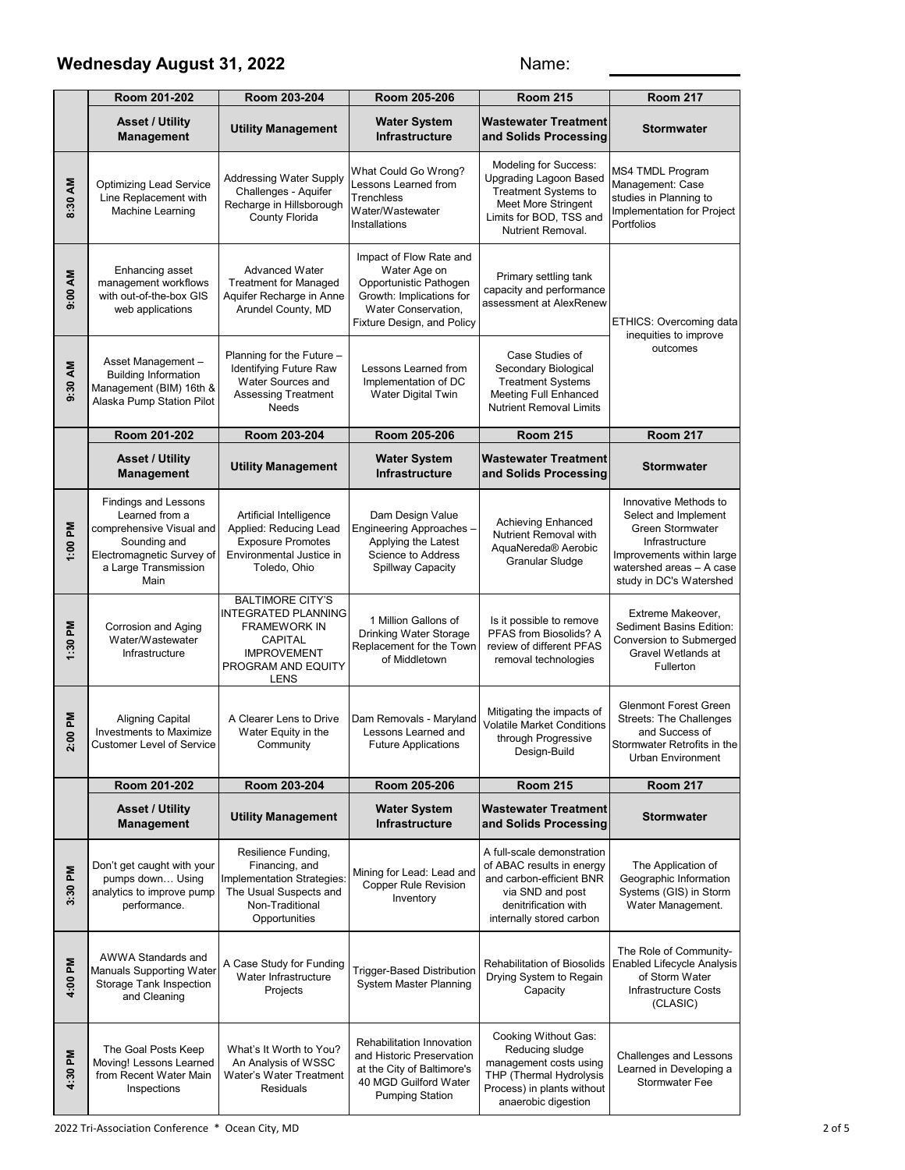#### Wednesday August 31, 2022 **Name:** Name:

|                                         | Room 201-202                                                                                                                                           | Room 203-204                                                                                                                                | Room 205-206                                                                                                                                       | <b>Room 215</b>                                                                                                                                                            | <b>Room 217</b>                                                                                                                                                         |
|-----------------------------------------|--------------------------------------------------------------------------------------------------------------------------------------------------------|---------------------------------------------------------------------------------------------------------------------------------------------|----------------------------------------------------------------------------------------------------------------------------------------------------|----------------------------------------------------------------------------------------------------------------------------------------------------------------------------|-------------------------------------------------------------------------------------------------------------------------------------------------------------------------|
|                                         | <b>Asset / Utility</b><br><b>Management</b>                                                                                                            | <b>Utility Management</b>                                                                                                                   | <b>Water System</b><br><b>Infrastructure</b>                                                                                                       | <b>Wastewater Treatment</b><br>and Solids Processing                                                                                                                       | <b>Stormwater</b>                                                                                                                                                       |
| 8:30 AM                                 | <b>Optimizing Lead Service</b><br>Line Replacement with<br>Machine Learning                                                                            | <b>Addressing Water Supply</b><br>Challenges - Aquifer<br>Recharge in Hillsborough<br>County Florida                                        | What Could Go Wrong?<br>Lessons Learned from<br><b>Trenchless</b><br>Water/Wastewater<br>Installations                                             | <b>Modeling for Success:</b><br><b>Upgrading Lagoon Based</b><br><b>Treatment Systems to</b><br><b>Meet More Stringent</b><br>Limits for BOD, TSS and<br>Nutrient Removal. | MS4 TMDL Program<br>Management: Case<br>studies in Planning to<br>Implementation for Project<br>Portfolios                                                              |
| 9:00 AM                                 | Enhancing asset<br>management workflows<br>with out-of-the-box GIS<br>web applications                                                                 | <b>Advanced Water</b><br><b>Treatment for Managed</b><br>Aquifer Recharge in Anne<br>Arundel County, MD                                     | Impact of Flow Rate and<br>Water Age on<br>Opportunistic Pathogen<br>Growth: Implications for<br>Water Conservation,<br>Fixture Design, and Policy | Primary settling tank<br>capacity and performance<br>assessment at AlexRenew                                                                                               | ETHICS: Overcoming data                                                                                                                                                 |
| 9:30 AM                                 | Asset Management -<br><b>Building Information</b><br>Management (BIM) 16th &<br>Alaska Pump Station Pilot                                              | Planning for the Future -<br>Identifying Future Raw<br>Water Sources and<br><b>Assessing Treatment</b><br><b>Needs</b>                      | Lessons Learned from<br>Implementation of DC<br><b>Water Digital Twin</b>                                                                          | Case Studies of<br>Secondary Biological<br><b>Treatment Systems</b><br><b>Meeting Full Enhanced</b><br><b>Nutrient Removal Limits</b>                                      | inequities to improve<br>outcomes                                                                                                                                       |
|                                         | Room 201-202                                                                                                                                           | Room 203-204                                                                                                                                | Room 205-206                                                                                                                                       | <b>Room 215</b>                                                                                                                                                            | <b>Room 217</b>                                                                                                                                                         |
|                                         | <b>Asset / Utility</b><br><b>Management</b>                                                                                                            | <b>Utility Management</b>                                                                                                                   | <b>Water System</b><br><b>Infrastructure</b>                                                                                                       | <b>Wastewater Treatment</b><br>and Solids Processing                                                                                                                       | <b>Stormwater</b>                                                                                                                                                       |
| 1:00 PM                                 | <b>Findings and Lessons</b><br>Learned from a<br>comprehensive Visual and<br>Sounding and<br>Electromagnetic Survey of<br>a Large Transmission<br>Main | Artificial Intelligence<br>Applied: Reducing Lead<br><b>Exposure Promotes</b><br>Environmental Justice in<br>Toledo, Ohio                   | Dam Design Value<br>Engineering Approaches -<br>Applying the Latest<br>Science to Address<br>Spillway Capacity                                     | <b>Achieving Enhanced</b><br>Nutrient Removal with<br>AquaNereda <sup>®</sup> Aerobic<br>Granular Sludge                                                                   | Innovative Methods to<br>Select and Implement<br>Green Stormwater<br>Infrastructure<br>Improvements within large<br>watershed areas - A case<br>study in DC's Watershed |
| M<br>1:30                               | Corrosion and Aging<br>Water/Wastewater<br>Infrastructure                                                                                              | <b>BALTIMORE CITY'S</b><br><b>INTEGRATED PLANNING</b><br><b>FRAMEWORK IN</b><br>CAPITAL<br><b>IMPROVEMENT</b><br>PROGRAM AND EQUITY<br>LENS | 1 Million Gallons of<br>Drinking Water Storage<br>Replacement for the Town<br>of Middletown                                                        | Is it possible to remove<br>PFAS from Biosolids? A<br>review of different PFAS<br>removal technologies                                                                     | Extreme Makeover,<br>Sediment Basins Edition:<br>Conversion to Submerged<br>Gravel Wetlands at<br>Fullerton                                                             |
| <b>Md 00</b><br>$\overline{\mathbf{v}}$ | <b>Aligning Capital</b><br><b>Investments to Maximize</b><br><b>Customer Level of Service</b>                                                          | A Clearer Lens to Drive<br>Water Equity in the<br>Community                                                                                 | Dam Removals - Maryland<br>Lessons Learned and<br><b>Future Applications</b>                                                                       | Mitigating the impacts of<br><b>Volatile Market Conditions</b><br>through Progressive<br>Design-Build                                                                      | <b>Glenmont Forest Green</b><br><b>Streets: The Challenges</b><br>and Success of<br>Stormwater Retrofits in the<br>Urban Environment                                    |
|                                         | Room 201-202                                                                                                                                           | Room 203-204                                                                                                                                | Room 205-206                                                                                                                                       | <b>Room 215</b>                                                                                                                                                            | <b>Room 217</b>                                                                                                                                                         |
|                                         | <b>Asset / Utility</b><br><b>Management</b>                                                                                                            | <b>Utility Management</b>                                                                                                                   | <b>Water System</b><br>Infrastructure                                                                                                              | <b>Wastewater Treatment</b><br>and Solids Processing                                                                                                                       | <b>Stormwater</b>                                                                                                                                                       |
| 3:30 PM                                 | Don't get caught with your<br>pumps down Using<br>analytics to improve pump<br>performance.                                                            | Resilience Funding,<br>Financing, and<br>Implementation Strategies:<br>The Usual Suspects and<br>Non-Traditional<br>Opportunities           | Mining for Lead: Lead and<br><b>Copper Rule Revision</b><br>Inventory                                                                              | A full-scale demonstration<br>of ABAC results in energy<br>and carbon-efficient BNR<br>via SND and post<br>denitrification with<br>internally stored carbon                | The Application of<br>Geographic Information<br>Systems (GIS) in Storm<br>Water Management.                                                                             |
| 4:00 PM                                 | AWWA Standards and<br><b>Manuals Supporting Water</b><br>Storage Tank Inspection<br>and Cleaning                                                       | A Case Study for Funding<br>Water Infrastructure<br>Projects                                                                                | <b>Trigger-Based Distribution</b><br>System Master Planning                                                                                        | <b>Rehabilitation of Biosolids</b><br>Drying System to Regain<br>Capacity                                                                                                  | The Role of Community-<br><b>Enabled Lifecycle Analysis</b><br>of Storm Water<br>Infrastructure Costs<br>(CLASIC)                                                       |
| 4:30 PM                                 | The Goal Posts Keep<br>Moving! Lessons Learned<br>from Recent Water Main<br>Inspections                                                                | What's It Worth to You?<br>An Analysis of WSSC<br>Water's Water Treatment<br><b>Residuals</b>                                               | Rehabilitation Innovation<br>and Historic Preservation<br>at the City of Baltimore's<br>40 MGD Guilford Water<br><b>Pumping Station</b>            | Cooking Without Gas:<br>Reducing sludge<br>management costs using<br>THP (Thermal Hydrolysis<br>Process) in plants without<br>anaerobic digestion                          | <b>Challenges and Lessons</b><br>Learned in Developing a<br><b>Stormwater Fee</b>                                                                                       |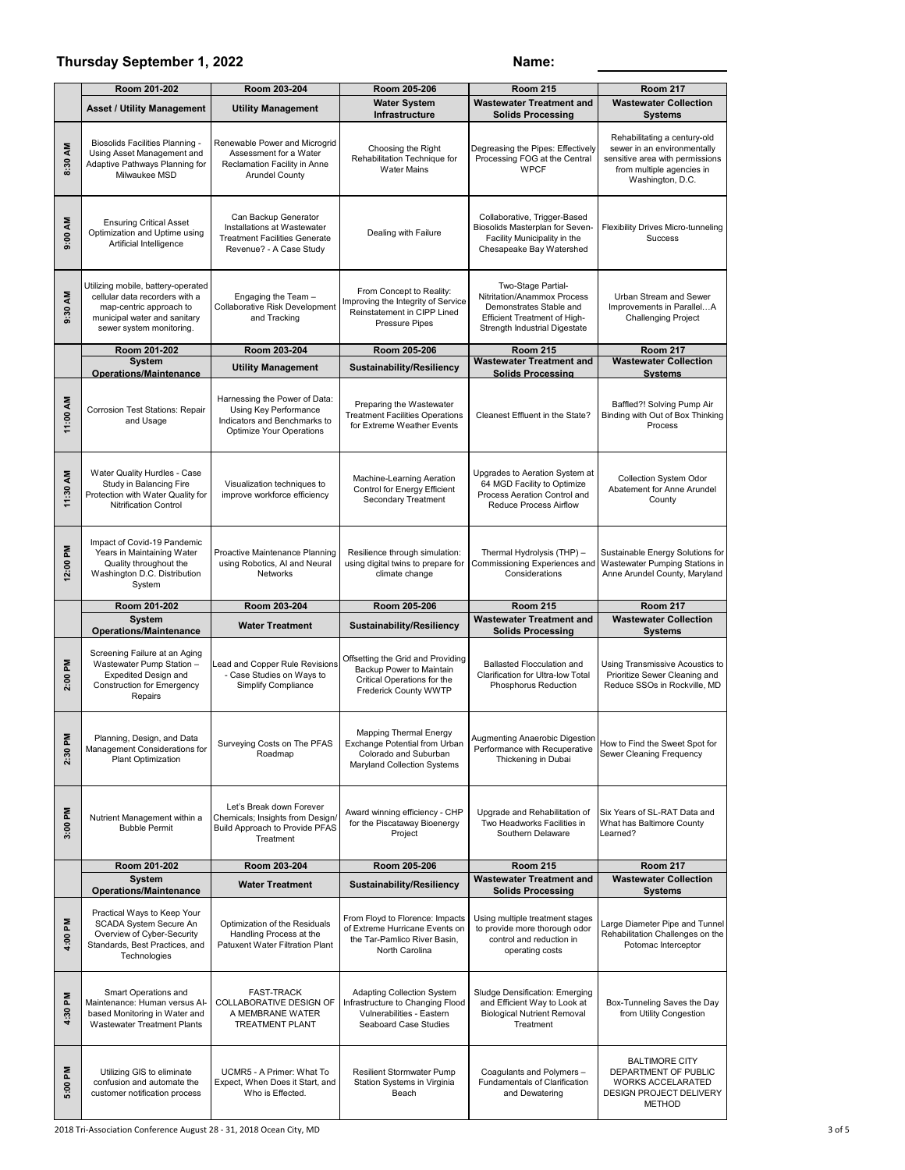#### **Thursday September 1, 2022 Name:**

|                      | Room 201-202                                                                                                                                                           | Room 205-206<br>Room 203-204<br><b>Room 215</b>                                                                           |                                                                                                                        | <b>Room 217</b>                                                                                                                               |                                                                                                                                                 |
|----------------------|------------------------------------------------------------------------------------------------------------------------------------------------------------------------|---------------------------------------------------------------------------------------------------------------------------|------------------------------------------------------------------------------------------------------------------------|-----------------------------------------------------------------------------------------------------------------------------------------------|-------------------------------------------------------------------------------------------------------------------------------------------------|
|                      | <b>Asset / Utility Management</b>                                                                                                                                      | <b>Utility Management</b>                                                                                                 | <b>Water System</b>                                                                                                    | <b>Wastewater Treatment and</b>                                                                                                               | <b>Wastewater Collection</b>                                                                                                                    |
|                      |                                                                                                                                                                        |                                                                                                                           | Infrastructure                                                                                                         | <b>Solids Processing</b>                                                                                                                      | <b>Systems</b>                                                                                                                                  |
| 8:30 AM              | Biosolids Facilities Planning -<br>Using Asset Management and<br>Adaptive Pathways Planning for<br>Milwaukee MSD                                                       | Renewable Power and Microgrid<br>Assessment for a Water<br>Reclamation Facility in Anne<br><b>Arundel County</b>          | Choosing the Right<br>Rehabilitation Technique for<br><b>Water Mains</b>                                               | Degreasing the Pipes: Effectively<br>Processing FOG at the Central<br><b>WPCF</b>                                                             | Rehabilitating a century-old<br>sewer in an environmentally<br>sensitive area with permissions<br>from multiple agencies in<br>Washington, D.C. |
| 9:00 AM              | <b>Ensuring Critical Asset</b><br>Optimization and Uptime using<br>Artificial Intelligence                                                                             | Can Backup Generator<br>Installations at Wastewater<br><b>Treatment Facilities Generate</b><br>Revenue? - A Case Study    | Dealing with Failure                                                                                                   | Collaborative, Trigger-Based<br>Biosolids Masterplan for Seven-<br>Facility Municipality in the<br>Chesapeake Bay Watershed                   | Flexibility Drives Micro-tunneling<br>Success                                                                                                   |
| 9:30 AM              | Utilizing mobile, battery-operated<br>cellular data recorders with a<br>map-centric approach to<br>municipal water and sanitary<br>sewer system monitoring.            | Engaging the Team -<br>Collaborative Risk Development<br>and Tracking                                                     | From Concept to Reality:<br>Improving the Integrity of Service<br>Reinstatement in CIPP Lined<br>Pressure Pipes        | Two-Stage Partial-<br>Nitritation/Anammox Process<br>Demonstrates Stable and<br>Efficient Treatment of High-<br>Strength Industrial Digestate | Urban Stream and Sewer<br>Improvements in ParallelA<br><b>Challenging Project</b>                                                               |
|                      | Room 201-202                                                                                                                                                           | Room 203-204                                                                                                              | Room 205-206                                                                                                           | <b>Room 215</b>                                                                                                                               | <b>Room 217</b>                                                                                                                                 |
|                      | <b>System</b><br><b>Operations/Maintenance</b>                                                                                                                         | <b>Utility Management</b>                                                                                                 | Sustainability/Resiliency                                                                                              | <b>Wastewater Treatment and</b><br><b>Solids Processing</b>                                                                                   | <b>Wastewater Collection</b><br><b>Systems</b>                                                                                                  |
| 11:00 AM             | Corrosion Test Stations: Repair<br>and Usage                                                                                                                           | Harnessing the Power of Data:<br>Using Key Performance<br>Indicators and Benchmarks to<br><b>Optimize Your Operations</b> | Preparing the Wastewater<br><b>Treatment Facilities Operations</b><br>for Extreme Weather Events                       | Cleanest Effluent in the State?                                                                                                               | Baffled?! Solving Pump Air<br>Binding with Out of Box Thinking<br>Process                                                                       |
| 11:30 AM             | Water Quality Hurdles - Case<br>Study in Balancing Fire<br>Protection with Water Quality for<br>Nitrification Control                                                  | Visualization techniques to<br>improve workforce efficiency                                                               | Machine-Learning Aeration<br>Control for Energy Efficient<br>Secondary Treatment                                       | Upgrades to Aeration System at<br>64 MGD Facility to Optimize<br>Process Aeration Control and<br>Reduce Process Airflow                       | Collection System Odor<br>Abatement for Anne Arundel<br>County                                                                                  |
| 12:00 PM             | Impact of Covid-19 Pandemic<br>Years in Maintaining Water<br>Quality throughout the<br>Washington D.C. Distribution<br>System                                          | Proactive Maintenance Planning<br>using Robotics, AI and Neural<br>Networks                                               | Resilience through simulation:<br>using digital twins to prepare for<br>climate change                                 | Thermal Hydrolysis (THP) -<br>Commissioning Experiences and<br>Considerations                                                                 | Sustainable Energy Solutions for<br>Wastewater Pumping Stations in<br>Anne Arundel County, Maryland                                             |
|                      |                                                                                                                                                                        |                                                                                                                           |                                                                                                                        |                                                                                                                                               |                                                                                                                                                 |
|                      | Room 201-202                                                                                                                                                           | Room 203-204                                                                                                              | Room 205-206                                                                                                           | <b>Room 215</b>                                                                                                                               | <b>Room 217</b>                                                                                                                                 |
|                      | <b>System</b><br><b>Operations/Maintenance</b>                                                                                                                         | <b>Water Treatment</b>                                                                                                    | Sustainability/Resiliency                                                                                              | <b>Wastewater Treatment and</b><br><b>Solids Processing</b>                                                                                   | <b>Wastewater Collection</b><br><b>Systems</b>                                                                                                  |
| 2:00 PM              | Screening Failure at an Aging<br>Wastewater Pump Station -<br><b>Expedited Design and</b><br><b>Construction for Emergency</b><br>Repairs                              | Lead and Copper Rule Revisions<br>- Case Studies on Ways to<br>Simplify Compliance                                        | Offsetting the Grid and Providing<br>Backup Power to Maintain<br>Critical Operations for the<br>Frederick County WWTP  | <b>Ballasted Flocculation and</b><br>Clarification for Ultra-low Total<br>Phosphorus Reduction                                                | Using Transmissive Acoustics to<br>Prioritize Sewer Cleaning and<br>Reduce SSOs in Rockville, MD                                                |
| ᇍ<br>2:30            | Planning, Design, and Data<br>Management Considerations for<br>Plant Optimization                                                                                      | Surveying Costs on The PFAS<br>Roadmap                                                                                    | <b>Mapping Thermal Energy</b><br>Exchange Potential from Urban<br>Colorado and Suburban<br>Maryland Collection Systems | Augmenting Anaerobic Digestion<br>Performance with Recuperative<br>Thickening in Dubai                                                        | How to Find the Sweet Spot for<br>Sewer Cleaning Frequency                                                                                      |
| 3:00 PM              | Nutrient Management within a<br><b>Bubble Permit</b>                                                                                                                   | Let's Break down Forever<br>Chemicals; Insights from Design/<br>Build Approach to Provide PFAS<br>Treatment               | Award winning efficiency - CHP<br>for the Piscataway Bioenergy<br>Project                                              | Upgrade and Rehabilitation of<br>Two Headworks Facilities in<br>Southern Delaware                                                             | Six Years of SL-RAT Data and<br>What has Baltimore County<br>Learned?                                                                           |
|                      | Room 201-202                                                                                                                                                           | Room 203-204                                                                                                              | Room 205-206                                                                                                           | <b>Room 215</b>                                                                                                                               | <b>Room 217</b>                                                                                                                                 |
|                      | <b>System</b>                                                                                                                                                          | <b>Water Treatment</b>                                                                                                    | <b>Sustainability/Resiliency</b>                                                                                       | <b>Wastewater Treatment and</b>                                                                                                               | <b>Wastewater Collection</b>                                                                                                                    |
| $\mathbf{M}$<br>4:00 | <b>Operations/Maintenance</b><br>Practical Ways to Keep Your<br>SCADA System Secure An<br>Overview of Cyber-Security<br>Standards, Best Practices, and<br>Technologies | Optimization of the Residuals<br>Handling Process at the<br>Patuxent Water Filtration Plant                               | From Floyd to Florence: Impacts<br>of Extreme Hurricane Events on<br>the Tar-Pamlico River Basin,<br>North Carolina    | <b>Solids Processing</b><br>Using multiple treatment stages<br>to provide more thorough odor<br>control and reduction in<br>operating costs   | <b>Systems</b><br>Large Diameter Pipe and Tunnel<br>Rehabilitation Challenges on the<br>Potomac Interceptor                                     |
| 4:30 PM              | Smart Operations and<br>Maintenance: Human versus Al-<br>based Monitoring in Water and<br><b>Wastewater Treatment Plants</b>                                           | <b>FAST-TRACK</b><br>COLLABORATIVE DESIGN OF<br>A MEMBRANE WATER<br><b>TREATMENT PLANT</b>                                | Adapting Collection System<br>Infrastructure to Changing Flood<br>Vulnerabilities - Eastern<br>Seaboard Case Studies   | Sludge Densification: Emerging<br>and Efficient Way to Look at<br><b>Biological Nutrient Removal</b><br>Treatment                             | Box-Tunneling Saves the Day<br>from Utility Congestion                                                                                          |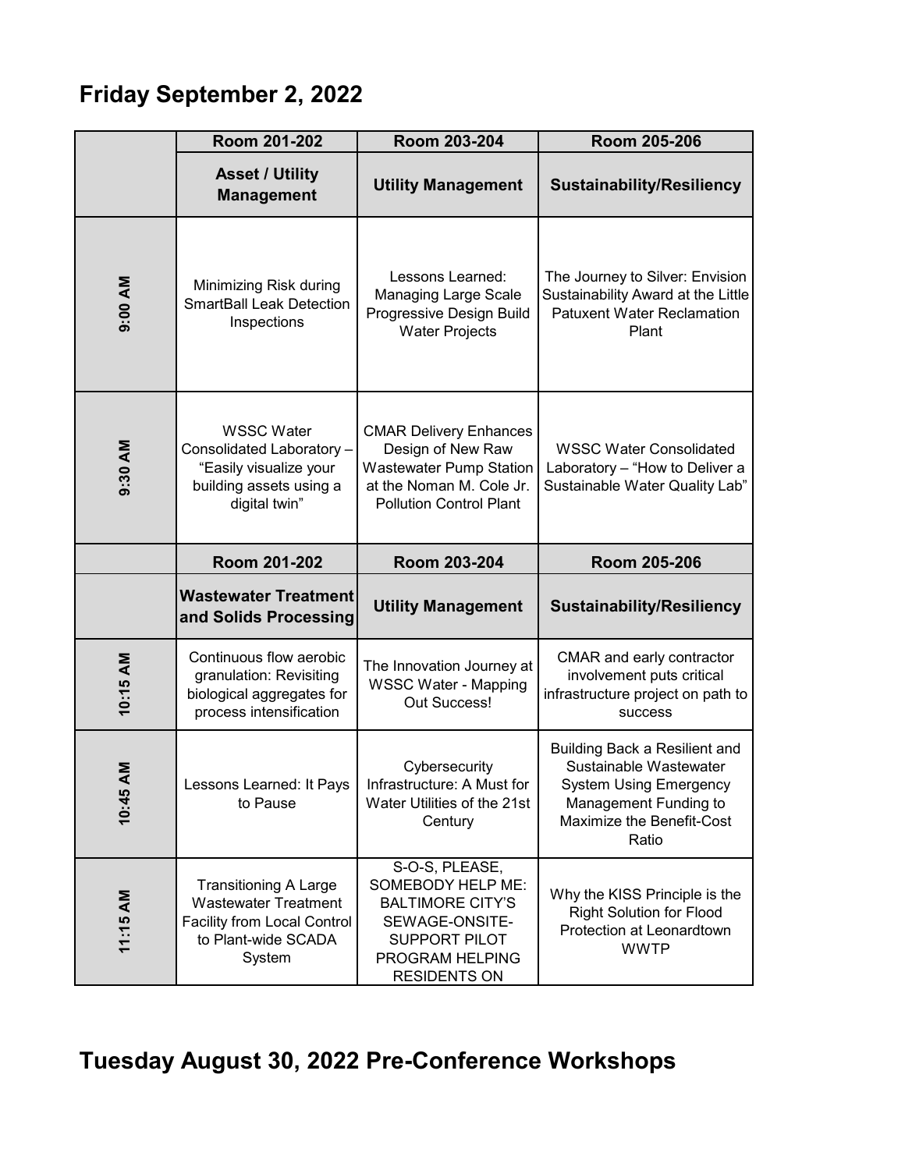## **Friday September 2, 2022**

|                    | Room 201-202                                                                                                                       | Room 203-204                                                                                                                                       | Room 205-206                                                                                                                                                   |
|--------------------|------------------------------------------------------------------------------------------------------------------------------------|----------------------------------------------------------------------------------------------------------------------------------------------------|----------------------------------------------------------------------------------------------------------------------------------------------------------------|
|                    | <b>Asset / Utility</b><br><b>Management</b>                                                                                        | <b>Utility Management</b>                                                                                                                          | <b>Sustainability/Resiliency</b>                                                                                                                               |
| 9:00 AM            | Minimizing Risk during<br><b>SmartBall Leak Detection</b><br>Inspections                                                           | Lessons Learned:<br><b>Managing Large Scale</b><br>Progressive Design Build<br><b>Water Projects</b>                                               | The Journey to Silver: Envision<br>Sustainability Award at the Little<br><b>Patuxent Water Reclamation</b><br>Plant                                            |
| 9:30 AM            | <b>WSSC Water</b><br>Consolidated Laboratory-<br>"Easily visualize your<br>building assets using a<br>digital twin"                | <b>CMAR Delivery Enhances</b><br>Design of New Raw<br><b>Wastewater Pump Station</b><br>at the Noman M. Cole Jr.<br><b>Pollution Control Plant</b> | <b>WSSC Water Consolidated</b><br>Laboratory - "How to Deliver a<br>Sustainable Water Quality Lab"                                                             |
|                    | Room 201-202                                                                                                                       | Room 203-204                                                                                                                                       | Room 205-206                                                                                                                                                   |
|                    | <b>Wastewater Treatment</b><br>and Solids Processing                                                                               | <b>Utility Management</b>                                                                                                                          | <b>Sustainability/Resiliency</b>                                                                                                                               |
| 10:15 AM           | Continuous flow aerobic<br>granulation: Revisiting<br>biological aggregates for<br>process intensification                         | The Innovation Journey at<br><b>WSSC Water - Mapping</b><br>Out Success!                                                                           | CMAR and early contractor<br>involvement puts critical<br>infrastructure project on path to<br><b>SUCCESS</b>                                                  |
| <b>NA</b><br>10:45 | Lessons Learned: It Pays<br>to Pause                                                                                               | Cybersecurity<br>Infrastructure: A Must for<br>Water Utilities of the 21st<br>Century                                                              | <b>Building Back a Resilient and</b><br>Sustainable Wastewater<br><b>System Using Emergency</b><br>Management Funding to<br>Maximize the Benefit-Cost<br>Ratio |
| 11:15 AM           | <b>Transitioning A Large</b><br><b>Wastewater Treatment</b><br><b>Facility from Local Control</b><br>to Plant-wide SCADA<br>System | S-O-S, PLEASE,<br>SOMEBODY HELP ME:<br><b>BALTIMORE CITY'S</b><br>SEWAGE-ONSITE-<br>SUPPORT PILOT<br>PROGRAM HELPING<br><b>RESIDENTS ON</b>        | Why the KISS Principle is the<br><b>Right Solution for Flood</b><br>Protection at Leonardtown<br><b>WWTP</b>                                                   |

# **Tuesday August 30, 2022 Pre-Conference Workshops**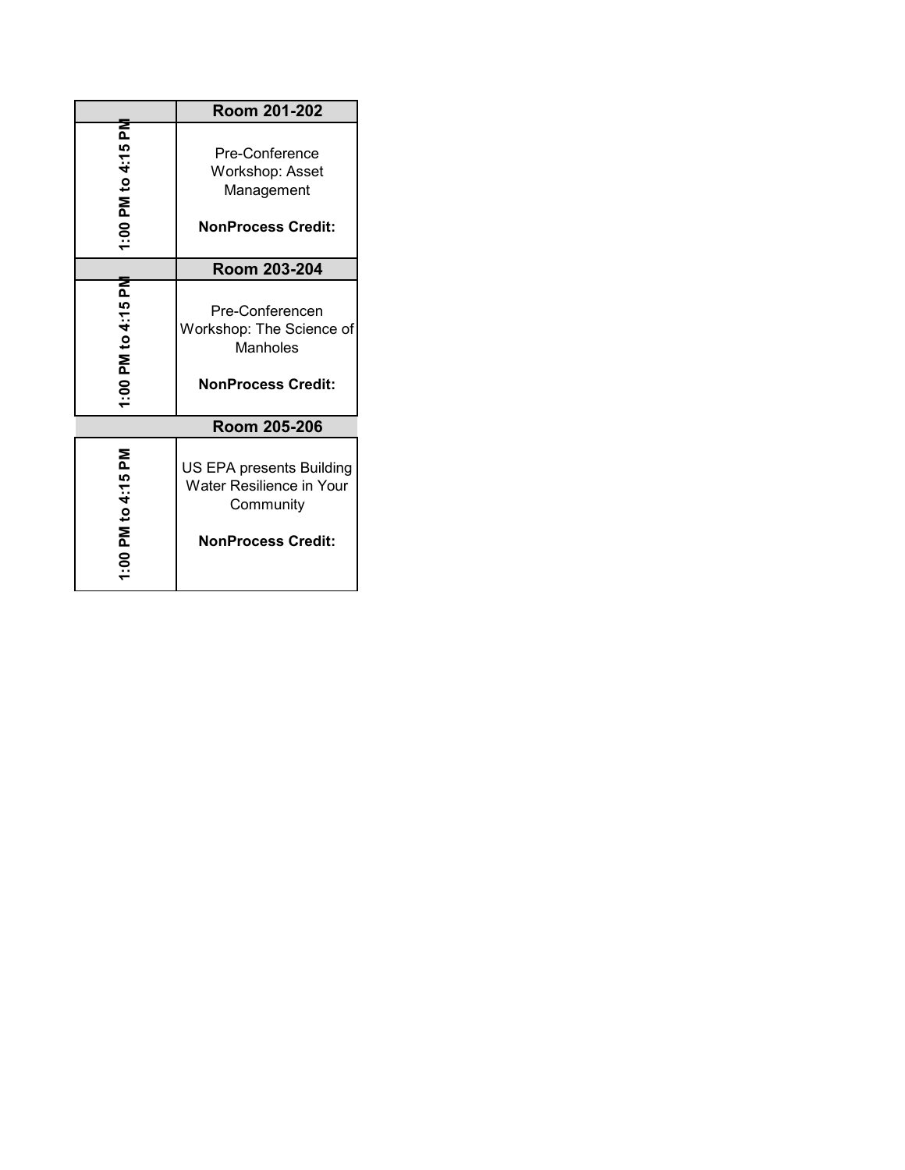|                                         | Room 201-202                                                                                   |
|-----------------------------------------|------------------------------------------------------------------------------------------------|
| ᅙ<br>PM to 4:15<br>1.001                | Pre-Conference<br>Workshop: Asset<br>Management<br><b>NonProcess Credit:</b>                   |
|                                         | Room 203-204                                                                                   |
| ᅙ<br>104:15<br>_<br>Ma<br>$\frac{6}{1}$ | Pre-Conferencen<br>Workshop: The Science of<br>Manholes<br><b>NonProcess Credit:</b>           |
|                                         | Room 205-206                                                                                   |
| 1:00 PM to 4:15 PM                      | US EPA presents Building<br>Water Resilience in Your<br>Community<br><b>NonProcess Credit:</b> |